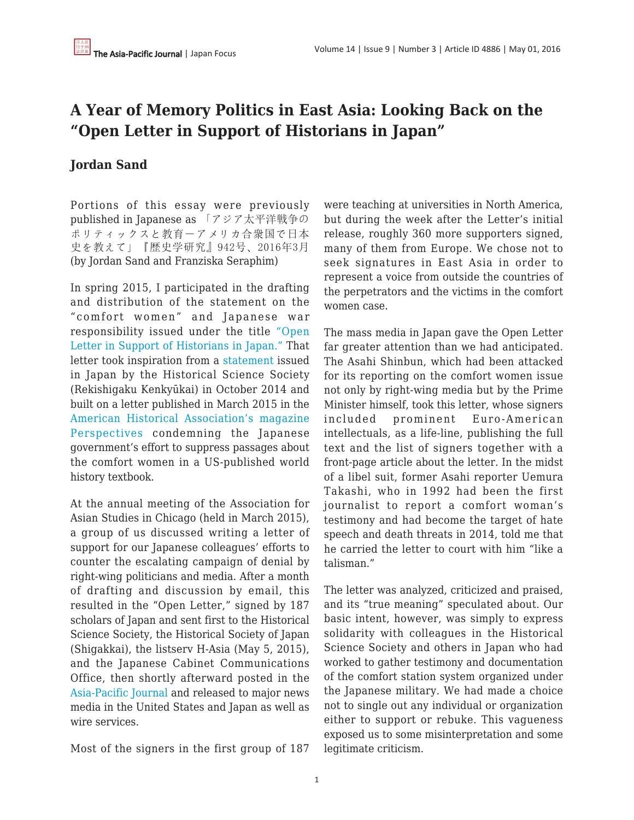## **A Year of Memory Politics in East Asia: Looking Back on the "Open Letter in Support of Historians in Japan"**

## **Jordan Sand**

Portions of this essay were previously published in Japanese as 「アジア太平洋戦争の ポリティックスと教育―アメリカ合衆国で日本 史を教えて」『歴史学研究』942号、2016年3月 (by Jordan Sand and Franziska Seraphim)

In spring 2015, I participated in the drafting and distribution of the statement on the "comfort women" and Japanese war responsibility issued under the title ["Open](https://networks.h-net.org/open-letter-support-historians-japan-0) [Letter in Support of Historians in Japan."](https://networks.h-net.org/open-letter-support-historians-japan-0) That letter took inspiration from a [statement](https://apjjf.org/-Asia-Pacific-Journal-Feature/4812/article.html) issued in Japan by the Historical Science Society (Rekishigaku Kenkyūkai) in October 2014 and built on a letter published in March 2015 in the [American Historical Association's magazine](https://www.historians.org/publications-and-directories/perspectives-on-history/march-2015/letter-to-the-editor-standing-with-historians-of-japan) [Perspectives](https://www.historians.org/publications-and-directories/perspectives-on-history/march-2015/letter-to-the-editor-standing-with-historians-of-japan) condemning the Japanese government's effort to suppress passages about the comfort women in a US-published world history textbook.

At the annual meeting of the Association for Asian Studies in Chicago (held in March 2015), a group of us discussed writing a letter of support for our Japanese colleagues' efforts to counter the escalating campaign of denial by right-wing politicians and media. After a month of drafting and discussion by email, this resulted in the "Open Letter," signed by 187 scholars of Japan and sent first to the Historical Science Society, the Historical Society of Japan (Shigakkai), the listserv H-Asia (May 5, 2015), and the Japanese Cabinet Communications Office, then shortly afterward posted in the [Asia-Pacific Journal](https://apjjf.org/-Asia-Pacific-Journal-Feature/4828/article.html) and released to major news media in the United States and Japan as well as wire services.

Most of the signers in the first group of 187

were teaching at universities in North America, but during the week after the Letter's initial release, roughly 360 more supporters signed, many of them from Europe. We chose not to seek signatures in East Asia in order to represent a voice from outside the countries of the perpetrators and the victims in the comfort women case.

The mass media in Japan gave the Open Letter far greater attention than we had anticipated. The Asahi Shinbun, which had been attacked for its reporting on the comfort women issue not only by right-wing media but by the Prime Minister himself, took this letter, whose signers included prominent Euro-American intellectuals, as a life-line, publishing the full text and the list of signers together with a front-page article about the letter. In the midst of a libel suit, former Asahi reporter Uemura Takashi, who in 1992 had been the first journalist to report a comfort woman's testimony and had become the target of hate speech and death threats in 2014, told me that he carried the letter to court with him "like a talisman."

The letter was analyzed, criticized and praised, and its "true meaning" speculated about. Our basic intent, however, was simply to express solidarity with colleagues in the Historical Science Society and others in Japan who had worked to gather testimony and documentation of the comfort station system organized under the Japanese military. We had made a choice not to single out any individual or organization either to support or rebuke. This vagueness exposed us to some misinterpretation and some legitimate criticism.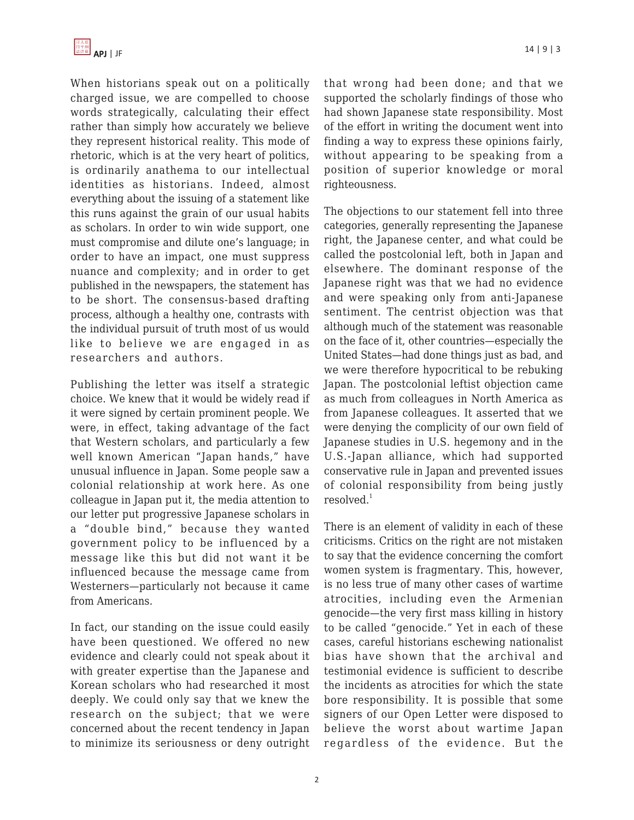When historians speak out on a politically charged issue, we are compelled to choose words strategically, calculating their effect rather than simply how accurately we believe they represent historical reality. This mode of rhetoric, which is at the very heart of politics, is ordinarily anathema to our intellectual identities as historians. Indeed, almost everything about the issuing of a statement like this runs against the grain of our usual habits as scholars. In order to win wide support, one must compromise and dilute one's language; in order to have an impact, one must suppress nuance and complexity; and in order to get published in the newspapers, the statement has to be short. The consensus-based drafting process, although a healthy one, contrasts with the individual pursuit of truth most of us would like to believe we are engaged in as researchers and authors.

Publishing the letter was itself a strategic choice. We knew that it would be widely read if it were signed by certain prominent people. We were, in effect, taking advantage of the fact that Western scholars, and particularly a few well known American "Japan hands," have unusual influence in Japan. Some people saw a colonial relationship at work here. As one colleague in Japan put it, the media attention to our letter put progressive Japanese scholars in a "double bind," because they wanted government policy to be influenced by a message like this but did not want it be influenced because the message came from Westerners—particularly not because it came from Americans.

In fact, our standing on the issue could easily have been questioned. We offered no new evidence and clearly could not speak about it with greater expertise than the Japanese and Korean scholars who had researched it most deeply. We could only say that we knew the research on the subject; that we were concerned about the recent tendency in Japan to minimize its seriousness or deny outright that wrong had been done; and that we supported the scholarly findings of those who had shown Japanese state responsibility. Most of the effort in writing the document went into finding a way to express these opinions fairly, without appearing to be speaking from a position of superior knowledge or moral righteousness.

The objections to our statement fell into three categories, generally representing the Japanese right, the Japanese center, and what could be called the postcolonial left, both in Japan and elsewhere. The dominant response of the Japanese right was that we had no evidence and were speaking only from anti-Japanese sentiment. The centrist objection was that although much of the statement was reasonable on the face of it, other countries—especially the United States—had done things just as bad, and we were therefore hypocritical to be rebuking Japan. The postcolonial leftist objection came as much from colleagues in North America as from Japanese colleagues. It asserted that we were denying the complicity of our own field of Japanese studies in U.S. hegemony and in the U.S.-Japan alliance, which had supported conservative rule in Japan and prevented issues of colonial responsibility from being justly resolved. $1$ 

There is an element of validity in each of these criticisms. Critics on the right are not mistaken to say that the evidence concerning the comfort women system is fragmentary. This, however, is no less true of many other cases of wartime atrocities, including even the Armenian genocide—the very first mass killing in history to be called "genocide." Yet in each of these cases, careful historians eschewing nationalist bias have shown that the archival and testimonial evidence is sufficient to describe the incidents as atrocities for which the state bore responsibility. It is possible that some signers of our Open Letter were disposed to believe the worst about wartime Japan regardless of the evidence. But the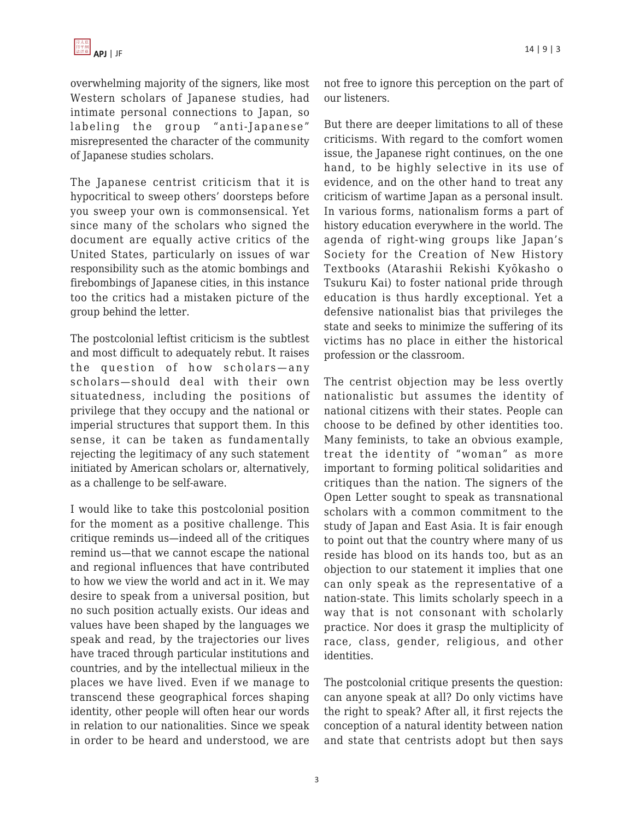overwhelming majority of the signers, like most Western scholars of Japanese studies, had intimate personal connections to Japan, so labeling the group "anti-Japanese" misrepresented the character of the community of Japanese studies scholars.

The Japanese centrist criticism that it is hypocritical to sweep others' doorsteps before you sweep your own is commonsensical. Yet since many of the scholars who signed the document are equally active critics of the United States, particularly on issues of war responsibility such as the atomic bombings and firebombings of Japanese cities, in this instance too the critics had a mistaken picture of the group behind the letter.

The postcolonial leftist criticism is the subtlest and most difficult to adequately rebut. It raises the question of how scholars—any scholars—should deal with their own situatedness, including the positions of privilege that they occupy and the national or imperial structures that support them. In this sense, it can be taken as fundamentally rejecting the legitimacy of any such statement initiated by American scholars or, alternatively, as a challenge to be self-aware.

I would like to take this postcolonial position for the moment as a positive challenge. This critique reminds us—indeed all of the critiques remind us—that we cannot escape the national and regional influences that have contributed to how we view the world and act in it. We may desire to speak from a universal position, but no such position actually exists. Our ideas and values have been shaped by the languages we speak and read, by the trajectories our lives have traced through particular institutions and countries, and by the intellectual milieux in the places we have lived. Even if we manage to transcend these geographical forces shaping identity, other people will often hear our words in relation to our nationalities. Since we speak in order to be heard and understood, we are not free to ignore this perception on the part of our listeners.

But there are deeper limitations to all of these criticisms. With regard to the comfort women issue, the Japanese right continues, on the one hand, to be highly selective in its use of evidence, and on the other hand to treat any criticism of wartime Japan as a personal insult. In various forms, nationalism forms a part of history education everywhere in the world. The agenda of right-wing groups like Japan's Society for the Creation of New History Textbooks (Atarashii Rekishi Kyōkasho o Tsukuru Kai) to foster national pride through education is thus hardly exceptional. Yet a defensive nationalist bias that privileges the state and seeks to minimize the suffering of its victims has no place in either the historical profession or the classroom.

The centrist objection may be less overtly nationalistic but assumes the identity of national citizens with their states. People can choose to be defined by other identities too. Many feminists, to take an obvious example, treat the identity of "woman" as more important to forming political solidarities and critiques than the nation. The signers of the Open Letter sought to speak as transnational scholars with a common commitment to the study of Japan and East Asia. It is fair enough to point out that the country where many of us reside has blood on its hands too, but as an objection to our statement it implies that one can only speak as the representative of a nation-state. This limits scholarly speech in a way that is not consonant with scholarly practice. Nor does it grasp the multiplicity of race, class, gender, religious, and other identities.

The postcolonial critique presents the question: can anyone speak at all? Do only victims have the right to speak? After all, it first rejects the conception of a natural identity between nation and state that centrists adopt but then says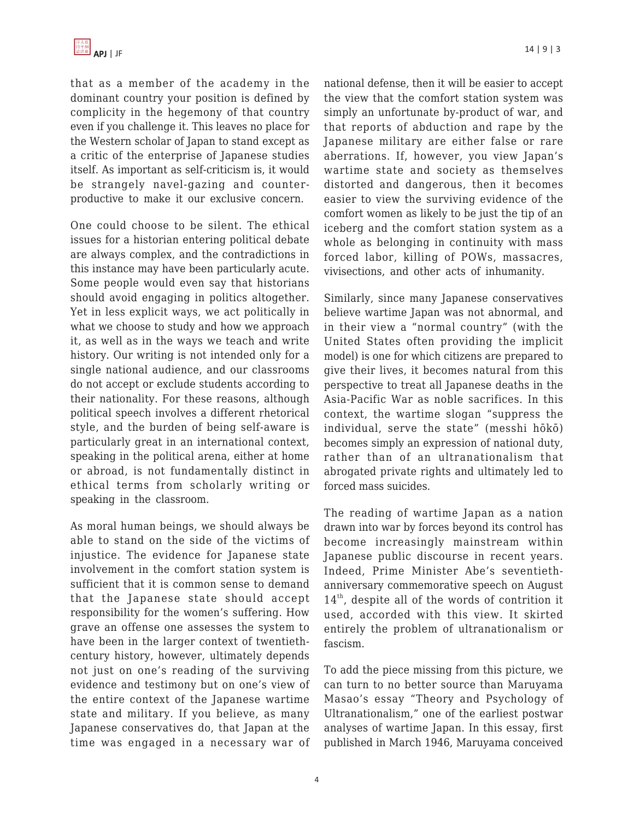

that as a member of the academy in the dominant country your position is defined by complicity in the hegemony of that country even if you challenge it. This leaves no place for the Western scholar of Japan to stand except as a critic of the enterprise of Japanese studies itself. As important as self-criticism is, it would be strangely navel-gazing and counterproductive to make it our exclusive concern.

One could choose to be silent. The ethical issues for a historian entering political debate are always complex, and the contradictions in this instance may have been particularly acute. Some people would even say that historians should avoid engaging in politics altogether. Yet in less explicit ways, we act politically in what we choose to study and how we approach it, as well as in the ways we teach and write history. Our writing is not intended only for a single national audience, and our classrooms do not accept or exclude students according to their nationality. For these reasons, although political speech involves a different rhetorical style, and the burden of being self-aware is particularly great in an international context, speaking in the political arena, either at home or abroad, is not fundamentally distinct in ethical terms from scholarly writing or speaking in the classroom.

As moral human beings, we should always be able to stand on the side of the victims of injustice. The evidence for Japanese state involvement in the comfort station system is sufficient that it is common sense to demand that the Japanese state should accept responsibility for the women's suffering. How grave an offense one assesses the system to have been in the larger context of twentiethcentury history, however, ultimately depends not just on one's reading of the surviving evidence and testimony but on one's view of the entire context of the Japanese wartime state and military. If you believe, as many Japanese conservatives do, that Japan at the time was engaged in a necessary war of national defense, then it will be easier to accept the view that the comfort station system was simply an unfortunate by-product of war, and that reports of abduction and rape by the Japanese military are either false or rare aberrations. If, however, you view Japan's wartime state and society as themselves distorted and dangerous, then it becomes easier to view the surviving evidence of the comfort women as likely to be just the tip of an iceberg and the comfort station system as a whole as belonging in continuity with mass forced labor, killing of POWs, massacres, vivisections, and other acts of inhumanity.

Similarly, since many Japanese conservatives believe wartime Japan was not abnormal, and in their view a "normal country" (with the United States often providing the implicit model) is one for which citizens are prepared to give their lives, it becomes natural from this perspective to treat all Japanese deaths in the Asia-Pacific War as noble sacrifices. In this context, the wartime slogan "suppress the individual, serve the state" (messhi hōkō) becomes simply an expression of national duty, rather than of an ultranationalism that abrogated private rights and ultimately led to forced mass suicides.

The reading of wartime Japan as a nation drawn into war by forces beyond its control has become increasingly mainstream within Japanese public discourse in recent years. Indeed, Prime Minister Abe's seventiethanniversary commemorative speech on August 14th, despite all of the words of contrition it used, accorded with this view. It skirted entirely the problem of ultranationalism or fascism.

To add the piece missing from this picture, we can turn to no better source than Maruyama Masao's essay "Theory and Psychology of Ultranationalism," one of the earliest postwar analyses of wartime Japan. In this essay, first published in March 1946, Maruyama conceived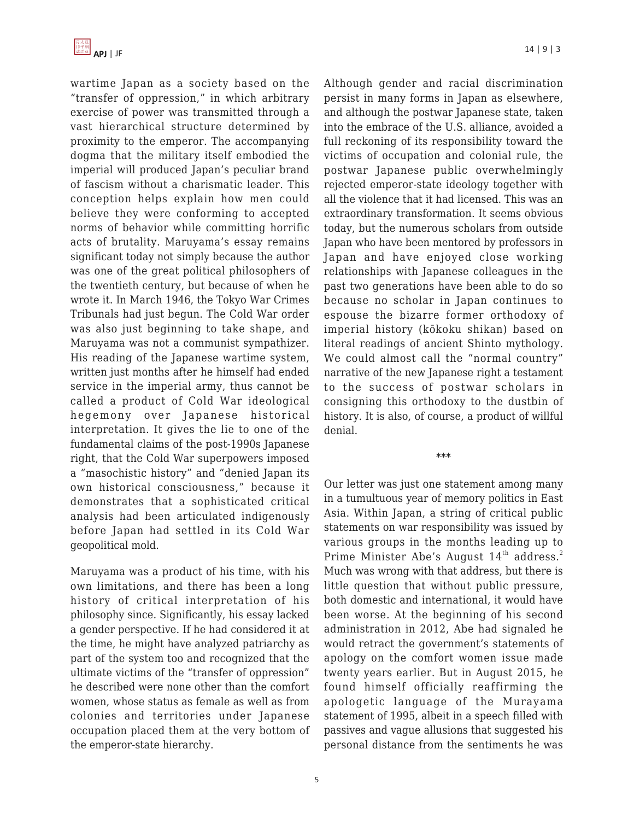

wartime Japan as a society based on the "transfer of oppression," in which arbitrary exercise of power was transmitted through a vast hierarchical structure determined by proximity to the emperor. The accompanying dogma that the military itself embodied the imperial will produced Japan's peculiar brand of fascism without a charismatic leader. This conception helps explain how men could believe they were conforming to accepted norms of behavior while committing horrific acts of brutality. Maruyama's essay remains significant today not simply because the author was one of the great political philosophers of the twentieth century, but because of when he wrote it. In March 1946, the Tokyo War Crimes Tribunals had just begun. The Cold War order was also just beginning to take shape, and Maruyama was not a communist sympathizer. His reading of the Japanese wartime system, written just months after he himself had ended service in the imperial army, thus cannot be called a product of Cold War ideological hegemony over Japanese historical interpretation. It gives the lie to one of the fundamental claims of the post-1990s Japanese right, that the Cold War superpowers imposed a "masochistic history" and "denied Japan its own historical consciousness," because it demonstrates that a sophisticated critical analysis had been articulated indigenously before Japan had settled in its Cold War geopolitical mold.

Maruyama was a product of his time, with his own limitations, and there has been a long history of critical interpretation of his philosophy since. Significantly, his essay lacked a gender perspective. If he had considered it at the time, he might have analyzed patriarchy as part of the system too and recognized that the ultimate victims of the "transfer of oppression" he described were none other than the comfort women, whose status as female as well as from colonies and territories under Japanese occupation placed them at the very bottom of the emperor-state hierarchy.

Although gender and racial discrimination persist in many forms in Japan as elsewhere, and although the postwar Japanese state, taken into the embrace of the U.S. alliance, avoided a full reckoning of its responsibility toward the victims of occupation and colonial rule, the postwar Japanese public overwhelmingly rejected emperor-state ideology together with all the violence that it had licensed. This was an extraordinary transformation. It seems obvious today, but the numerous scholars from outside Japan who have been mentored by professors in Japan and have enjoyed close working relationships with Japanese colleagues in the past two generations have been able to do so because no scholar in Japan continues to espouse the bizarre former orthodoxy of imperial history (kōkoku shikan) based on literal readings of ancient Shinto mythology. We could almost call the "normal country" narrative of the new Japanese right a testament to the success of postwar scholars in consigning this orthodoxy to the dustbin of history. It is also, of course, a product of willful denial.

\*\*\*

Our letter was just one statement among many in a tumultuous year of memory politics in East Asia. Within Japan, a string of critical public statements on war responsibility was issued by various groups in the months leading up to Prime Minister Abe's August  $14<sup>th</sup>$  address.<sup>2</sup> Much was wrong with that address, but there is little question that without public pressure, both domestic and international, it would have been worse. At the beginning of his second administration in 2012, Abe had signaled he would retract the government's statements of apology on the comfort women issue made twenty years earlier. But in August 2015, he found himself officially reaffirming the apologetic language of the Murayama statement of 1995, albeit in a speech filled with passives and vague allusions that suggested his personal distance from the sentiments he was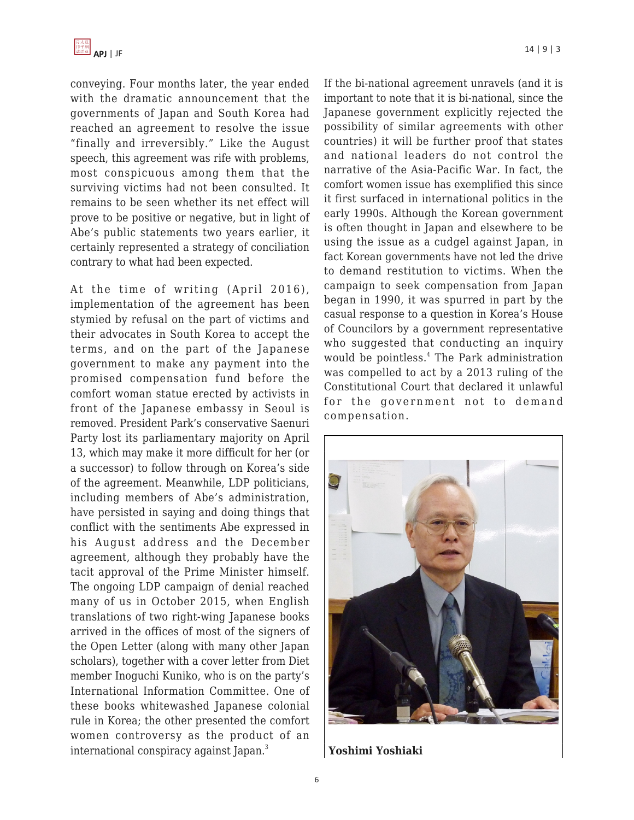

conveying. Four months later, the year ended with the dramatic announcement that the governments of Japan and South Korea had reached an agreement to resolve the issue "finally and irreversibly." Like the August speech, this agreement was rife with problems, most conspicuous among them that the surviving victims had not been consulted. It remains to be seen whether its net effect will prove to be positive or negative, but in light of Abe's public statements two years earlier, it certainly represented a strategy of conciliation contrary to what had been expected.

At the time of writing (April 2016), implementation of the agreement has been stymied by refusal on the part of victims and their advocates in South Korea to accept the terms, and on the part of the Japanese government to make any payment into the promised compensation fund before the comfort woman statue erected by activists in front of the Japanese embassy in Seoul is removed. President Park's conservative Saenuri Party lost its parliamentary majority on April 13, which may make it more difficult for her (or a successor) to follow through on Korea's side of the agreement. Meanwhile, LDP politicians, including members of Abe's administration, have persisted in saying and doing things that conflict with the sentiments Abe expressed in his August address and the December agreement, although they probably have the tacit approval of the Prime Minister himself. The ongoing LDP campaign of denial reached many of us in October 2015, when English translations of two right-wing Japanese books arrived in the offices of most of the signers of the Open Letter (along with many other Japan scholars), together with a cover letter from Diet member Inoguchi Kuniko, who is on the party's International Information Committee. One of these books whitewashed Japanese colonial rule in Korea; the other presented the comfort women controversy as the product of an international conspiracy against Japan.<sup>3</sup>

If the bi-national agreement unravels (and it is important to note that it is bi-national, since the Japanese government explicitly rejected the possibility of similar agreements with other countries) it will be further proof that states and national leaders do not control the narrative of the Asia-Pacific War. In fact, the comfort women issue has exemplified this since it first surfaced in international politics in the early 1990s. Although the Korean government is often thought in Japan and elsewhere to be using the issue as a cudgel against Japan, in fact Korean governments have not led the drive to demand restitution to victims. When the campaign to seek compensation from Japan began in 1990, it was spurred in part by the casual response to a question in Korea's House of Councilors by a government representative who suggested that conducting an inquiry would be pointless.<sup>4</sup> The Park administration was compelled to act by a 2013 ruling of the Constitutional Court that declared it unlawful for the government not to demand compensation.



**Yoshimi Yoshiaki**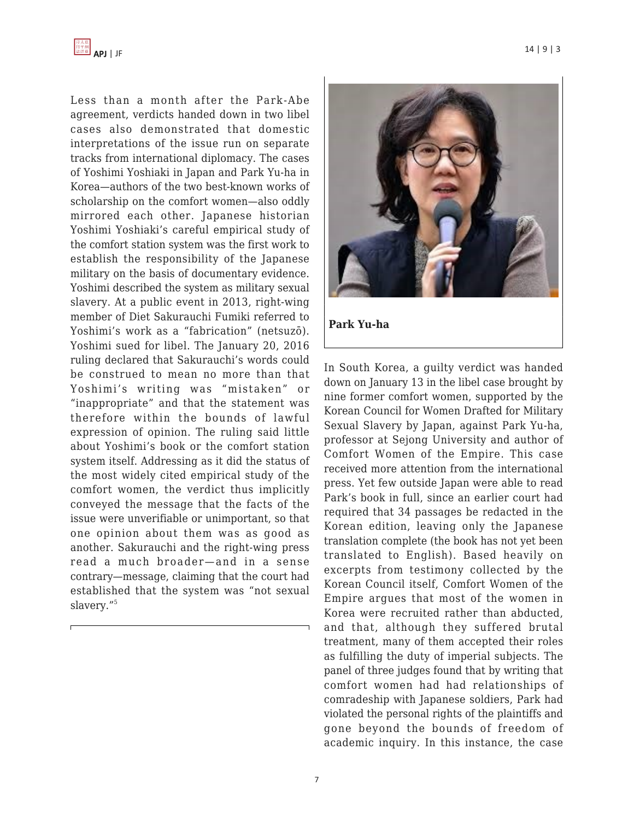

Less than a month after the Park-Abe agreement, verdicts handed down in two libel cases also demonstrated that domestic interpretations of the issue run on separate tracks from international diplomacy. The cases of Yoshimi Yoshiaki in Japan and Park Yu-ha in Korea—authors of the two best-known works of scholarship on the comfort women—also oddly mirrored each other. Japanese historian Yoshimi Yoshiaki's careful empirical study of the comfort station system was the first work to establish the responsibility of the Japanese military on the basis of documentary evidence. Yoshimi described the system as military sexual slavery. At a public event in 2013, right-wing member of Diet Sakurauchi Fumiki referred to Yoshimi's work as a "fabrication" (netsuzō). Yoshimi sued for libel. The January 20, 2016 ruling declared that Sakurauchi's words could be construed to mean no more than that Yoshimi's writing was "mistaken" or "inappropriate" and that the statement was therefore within the bounds of lawful expression of opinion. The ruling said little about Yoshimi's book or the comfort station system itself. Addressing as it did the status of the most widely cited empirical study of the comfort women, the verdict thus implicitly conveyed the message that the facts of the issue were unverifiable or unimportant, so that one opinion about them was as good as another. Sakurauchi and the right-wing press read a much broader—and in a sense contrary—message, claiming that the court had established that the system was "not sexual slavery."<sup>5</sup>



In South Korea, a guilty verdict was handed down on January 13 in the libel case brought by nine former comfort women, supported by the Korean Council for Women Drafted for Military Sexual Slavery by Japan, against Park Yu-ha, professor at Sejong University and author of Comfort Women of the Empire. This case received more attention from the international press. Yet few outside Japan were able to read Park's book in full, since an earlier court had required that 34 passages be redacted in the Korean edition, leaving only the Japanese translation complete (the book has not yet been translated to English). Based heavily on excerpts from testimony collected by the Korean Council itself, Comfort Women of the Empire argues that most of the women in Korea were recruited rather than abducted, and that, although they suffered brutal treatment, many of them accepted their roles as fulfilling the duty of imperial subjects. The panel of three judges found that by writing that comfort women had had relationships of comradeship with Japanese soldiers, Park had violated the personal rights of the plaintiffs and gone beyond the bounds of freedom of academic inquiry. In this instance, the case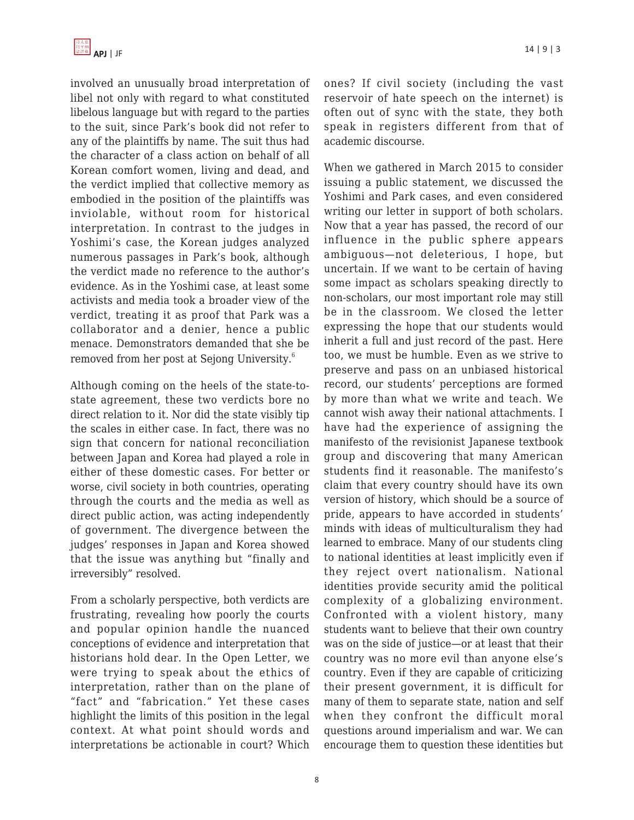involved an unusually broad interpretation of libel not only with regard to what constituted libelous language but with regard to the parties to the suit, since Park's book did not refer to any of the plaintiffs by name. The suit thus had the character of a class action on behalf of all Korean comfort women, living and dead, and the verdict implied that collective memory as embodied in the position of the plaintiffs was inviolable, without room for historical interpretation. In contrast to the judges in Yoshimi's case, the Korean judges analyzed numerous passages in Park's book, although the verdict made no reference to the author's evidence. As in the Yoshimi case, at least some activists and media took a broader view of the verdict, treating it as proof that Park was a collaborator and a denier, hence a public menace. Demonstrators demanded that she be removed from her post at Sejong University.<sup>6</sup>

Although coming on the heels of the state-tostate agreement, these two verdicts bore no direct relation to it. Nor did the state visibly tip the scales in either case. In fact, there was no sign that concern for national reconciliation between Japan and Korea had played a role in either of these domestic cases. For better or worse, civil society in both countries, operating through the courts and the media as well as direct public action, was acting independently of government. The divergence between the judges' responses in Japan and Korea showed that the issue was anything but "finally and irreversibly" resolved.

From a scholarly perspective, both verdicts are frustrating, revealing how poorly the courts and popular opinion handle the nuanced conceptions of evidence and interpretation that historians hold dear. In the Open Letter, we were trying to speak about the ethics of interpretation, rather than on the plane of "fact" and "fabrication." Yet these cases highlight the limits of this position in the legal context. At what point should words and interpretations be actionable in court? Which ones? If civil society (including the vast reservoir of hate speech on the internet) is often out of sync with the state, they both speak in registers different from that of academic discourse.

When we gathered in March 2015 to consider issuing a public statement, we discussed the Yoshimi and Park cases, and even considered writing our letter in support of both scholars. Now that a year has passed, the record of our influence in the public sphere appears ambiguous—not deleterious, I hope, but uncertain. If we want to be certain of having some impact as scholars speaking directly to non-scholars, our most important role may still be in the classroom. We closed the letter expressing the hope that our students would inherit a full and just record of the past. Here too, we must be humble. Even as we strive to preserve and pass on an unbiased historical record, our students' perceptions are formed by more than what we write and teach. We cannot wish away their national attachments. I have had the experience of assigning the manifesto of the revisionist Japanese textbook group and discovering that many American students find it reasonable. The manifesto's claim that every country should have its own version of history, which should be a source of pride, appears to have accorded in students' minds with ideas of multiculturalism they had learned to embrace. Many of our students cling to national identities at least implicitly even if they reject overt nationalism. National identities provide security amid the political complexity of a globalizing environment. Confronted with a violent history, many students want to believe that their own country was on the side of justice—or at least that their country was no more evil than anyone else's country. Even if they are capable of criticizing their present government, it is difficult for many of them to separate state, nation and self when they confront the difficult moral questions around imperialism and war. We can encourage them to question these identities but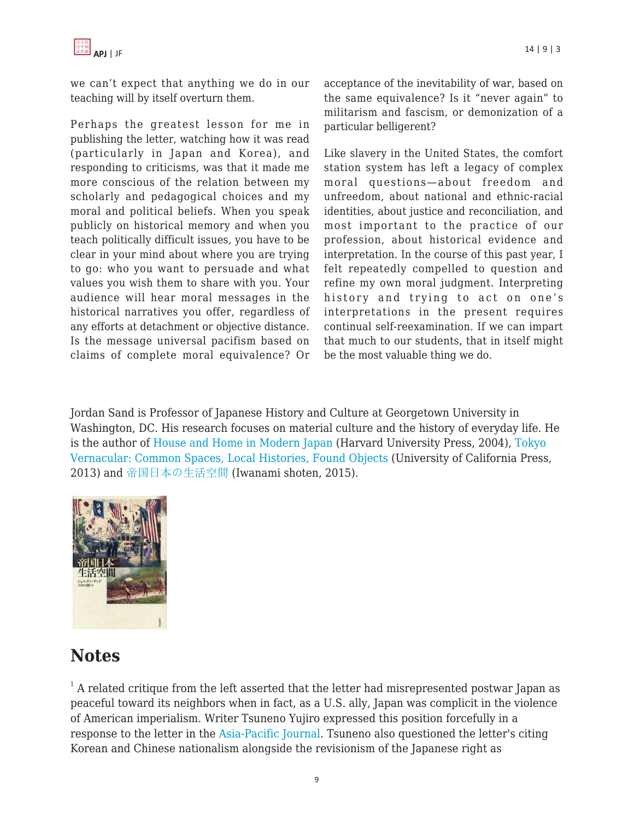

we can't expect that anything we do in our teaching will by itself overturn them.

Perhaps the greatest lesson for me in publishing the letter, watching how it was read (particularly in Japan and Korea), and responding to criticisms, was that it made me more conscious of the relation between my scholarly and pedagogical choices and my moral and political beliefs. When you speak publicly on historical memory and when you teach politically difficult issues, you have to be clear in your mind about where you are trying to go: who you want to persuade and what values you wish them to share with you. Your audience will hear moral messages in the historical narratives you offer, regardless of any efforts at detachment or objective distance. Is the message universal pacifism based on claims of complete moral equivalence? Or acceptance of the inevitability of war, based on the same equivalence? Is it "never again" to militarism and fascism, or demonization of a particular belligerent?

Like slavery in the United States, the comfort station system has left a legacy of complex moral questions—about freedom and unfreedom, about national and ethnic-racial identities, about justice and reconciliation, and most important to the practice of our profession, about historical evidence and interpretation. In the course of this past year, I felt repeatedly compelled to question and refine my own moral judgment. Interpreting history and trying to act on one's interpretations in the present requires continual self-reexamination. If we can impart that much to our students, that in itself might be the most valuable thing we do.

Jordan Sand is Professor of Japanese History and Culture at Georgetown University in Washington, DC. His research focuses on material culture and the history of everyday life. He is the author of [House and Home in Modern Japan](http://www.amazon.com/dp/0674019660/?tag=theasipacjo0b-20) (Harvard University Press, 2004), [Tokyo](http://www.amazon.com/dp/0520280377/?tag=theasipacjo0b-20) [Vernacular: Common Spaces, Local Histories, Found Objects](http://www.amazon.com/dp/0520280377/?tag=theasipacjo0b-20) (University of California Press, 2013) and [帝国日本の生活空間](http://www.amazon.co.jp/dp/4000240498/?tag=theasipacjo0b-20) (Iwanami shoten, 2015).



## **Notes**

 $^{\text{1}}$  A related critique from the left asserted that the letter had misrepresented postwar Japan as peaceful toward its neighbors when in fact, as a U.S. ally, Japan was complicit in the violence of American imperialism. Writer Tsuneno Yujiro expressed this position forcefully in a response to the letter in the [Asia-Pacific Journal](http://apjjf.org/-Tsuneno-Yujiro/4831/article.html). Tsuneno also questioned the letter's citing Korean and Chinese nationalism alongside the revisionism of the Japanese right as